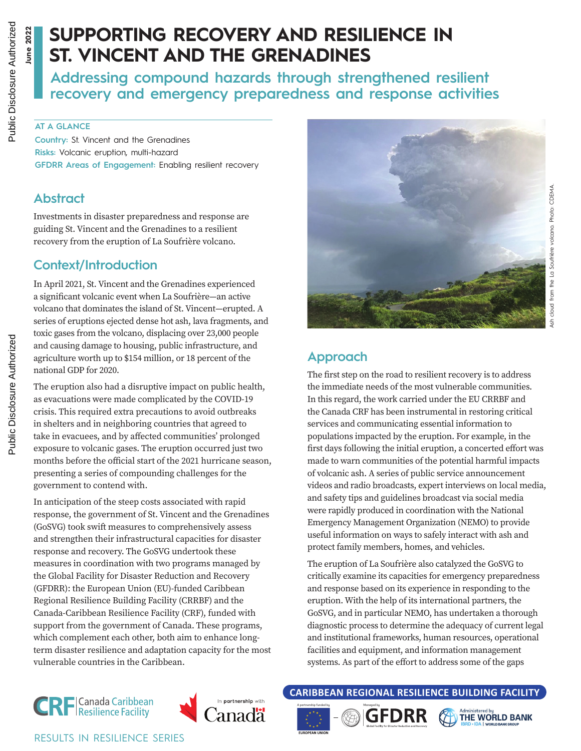**June 2022**

**June 2022** 

# **SUPPORTING RECOVERY AND RESILIENCE IN ST. VINCENT AND THE GRENADINES**

**Addressing compound hazards through strengthened resilient recovery and emergency preparedness and response activities**

#### **AT A GLANCE**

**Country:** St. Vincent and the Grenadines **Risks:** Volcanic eruption, multi-hazard **GFDRR Areas of Engagement:** Enabling resilient recovery

#### **Abstract**

Investments in disaster preparedness and response are guiding St. Vincent and the Grenadines to a resilient recovery from the eruption of La Soufrière volcano.

#### **Context/Introduction**

In April 2021, St. Vincent and the Grenadines experienced a significant volcanic event when La Soufrière—an active volcano that dominates the island of St. Vincent—erupted. A series of eruptions ejected dense hot ash, lava fragments, and toxic gases from the volcano, displacing over 23,000 people and causing damage to housing, public infrastructure, and agriculture worth up to \$154 million, or 18 percent of the national GDP for 2020.

The eruption also had a disruptive impact on public health, as evacuations were made complicated by the COVID-19 crisis. This required extra precautions to avoid outbreaks in shelters and in neighboring countries that agreed to take in evacuees, and by affected communities' prolonged exposure to volcanic gases. The eruption occurred just two months before the official start of the 2021 hurricane season, presenting a series of compounding challenges for the government to contend with.

In anticipation of the steep costs associated with rapid response, the government of St. Vincent and the Grenadines (GoSVG) took swift measures to comprehensively assess and strengthen their infrastructural capacities for disaster response and recovery. The GoSVG undertook these measures in coordination with two programs managed by the Global Facility for Disaster Reduction and Recovery (GFDRR): the European Union (EU)-funded Caribbean Regional Resilience Building Facility (CRRBF) and the Canada-Caribbean Resilience Facility (CRF), funded with support from the government of Canada. These programs, which complement each other, both aim to enhance longterm disaster resilience and adaptation capacity for the most vulnerable countries in the Caribbean.



## **Approach**

The first step on the road to resilient recovery is to address the immediate needs of the most vulnerable communities. In this regard, the work carried under the EU CRRBF and the Canada CRF has been instrumental in restoring critical services and communicating essential information to populations impacted by the eruption. For example, in the first days following the initial eruption, a concerted effort was made to warn communities of the potential harmful impacts of volcanic ash. A series of public service announcement videos and radio broadcasts, expert interviews on local media, and safety tips and guidelines broadcast via social media were rapidly produced in coordination with the National Emergency Management Organization (NEMO) to provide useful information on ways to safely interact with ash and protect family members, homes, and vehicles.

The eruption of La Soufrière also catalyzed the GoSVG to critically examine its capacities for emergency preparedness and response based on its experience in responding to the eruption. With the help of its international partners, the GoSVG, and in particular NEMO, has undertaken a thorough diagnostic process to determine the adequacy of current legal and institutional frameworks, human resources, operational facilities and equipment, and information management systems. As part of the effort to address some of the gaps



RESULTS IN RESILIENCE SERIES



**CARIBBEAN REGIONAL RESILIENCE BUILDING FACILITY**